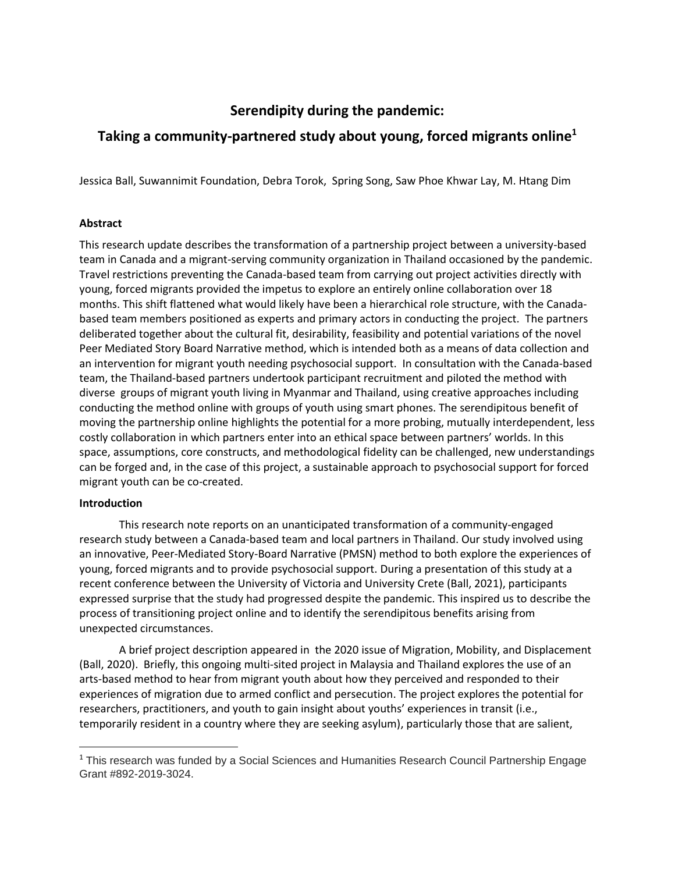# **Serendipity during the pandemic:**

# **Taking a community-partnered study about young, forced migrants online<sup>1</sup>**

Jessica Ball, Suwannimit Foundation, Debra Torok, Spring Song, Saw Phoe Khwar Lay, M. Htang Dim

## **Abstract**

This research update describes the transformation of a partnership project between a university-based team in Canada and a migrant-serving community organization in Thailand occasioned by the pandemic. Travel restrictions preventing the Canada-based team from carrying out project activities directly with young, forced migrants provided the impetus to explore an entirely online collaboration over 18 months. This shift flattened what would likely have been a hierarchical role structure, with the Canadabased team members positioned as experts and primary actors in conducting the project. The partners deliberated together about the cultural fit, desirability, feasibility and potential variations of the novel Peer Mediated Story Board Narrative method, which is intended both as a means of data collection and an intervention for migrant youth needing psychosocial support. In consultation with the Canada-based team, the Thailand-based partners undertook participant recruitment and piloted the method with diverse groups of migrant youth living in Myanmar and Thailand, using creative approaches including conducting the method online with groups of youth using smart phones. The serendipitous benefit of moving the partnership online highlights the potential for a more probing, mutually interdependent, less costly collaboration in which partners enter into an ethical space between partners' worlds. In this space, assumptions, core constructs, and methodological fidelity can be challenged, new understandings can be forged and, in the case of this project, a sustainable approach to psychosocial support for forced migrant youth can be co-created.

## **Introduction**

This research note reports on an unanticipated transformation of a community-engaged research study between a Canada-based team and local partners in Thailand. Our study involved using an innovative, Peer-Mediated Story-Board Narrative (PMSN) method to both explore the experiences of young, forced migrants and to provide psychosocial support. During a presentation of this study at a recent conference between the University of Victoria and University Crete (Ball, 2021), participants expressed surprise that the study had progressed despite the pandemic. This inspired us to describe the process of transitioning project online and to identify the serendipitous benefits arising from unexpected circumstances.

A brief project description appeared in the 2020 issue of Migration, Mobility, and Displacement (Ball, 2020). Briefly, this ongoing multi-sited project in Malaysia and Thailand explores the use of an arts-based method to hear from migrant youth about how they perceived and responded to their experiences of migration due to armed conflict and persecution. The project explores the potential for researchers, practitioners, and youth to gain insight about youths' experiences in transit (i.e., temporarily resident in a country where they are seeking asylum), particularly those that are salient,

<sup>&</sup>lt;sup>1</sup> This research was funded by a Social Sciences and Humanities Research Council Partnership Engage Grant #892-2019-3024.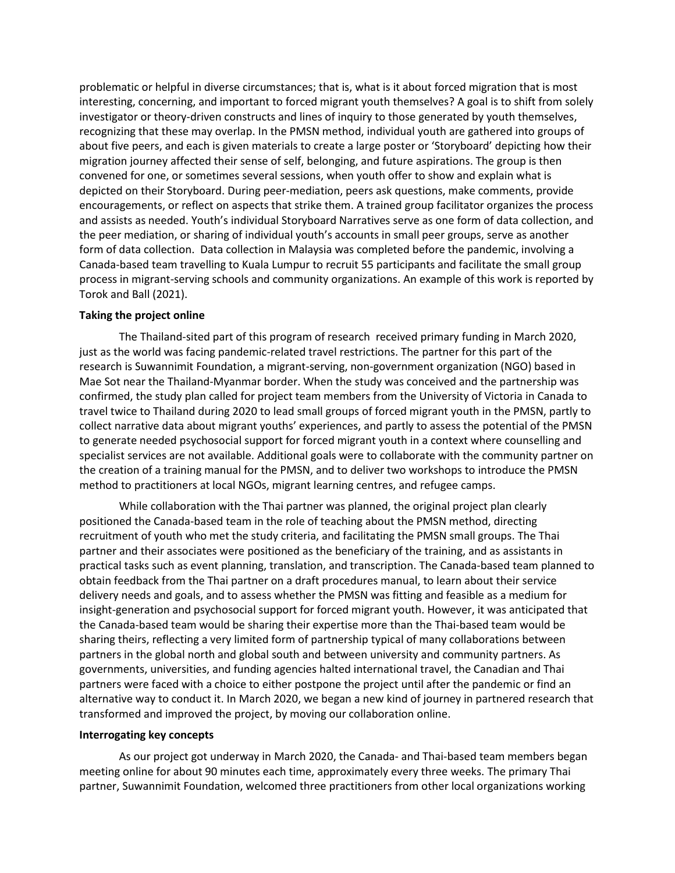problematic or helpful in diverse circumstances; that is, what is it about forced migration that is most interesting, concerning, and important to forced migrant youth themselves? A goal is to shift from solely investigator or theory-driven constructs and lines of inquiry to those generated by youth themselves, recognizing that these may overlap. In the PMSN method, individual youth are gathered into groups of about five peers, and each is given materials to create a large poster or 'Storyboard' depicting how their migration journey affected their sense of self, belonging, and future aspirations. The group is then convened for one, or sometimes several sessions, when youth offer to show and explain what is depicted on their Storyboard. During peer-mediation, peers ask questions, make comments, provide encouragements, or reflect on aspects that strike them. A trained group facilitator organizes the process and assists as needed. Youth's individual Storyboard Narratives serve as one form of data collection, and the peer mediation, or sharing of individual youth's accounts in small peer groups, serve as another form of data collection. Data collection in Malaysia was completed before the pandemic, involving a Canada-based team travelling to Kuala Lumpur to recruit 55 participants and facilitate the small group process in migrant-serving schools and community organizations. An example of this work is reported by Torok and Ball (2021).

### **Taking the project online**

The Thailand-sited part of this program of research received primary funding in March 2020, just as the world was facing pandemic-related travel restrictions. The partner for this part of the research is Suwannimit Foundation, a migrant-serving, non-government organization (NGO) based in Mae Sot near the Thailand-Myanmar border. When the study was conceived and the partnership was confirmed, the study plan called for project team members from the University of Victoria in Canada to travel twice to Thailand during 2020 to lead small groups of forced migrant youth in the PMSN, partly to collect narrative data about migrant youths' experiences, and partly to assess the potential of the PMSN to generate needed psychosocial support for forced migrant youth in a context where counselling and specialist services are not available. Additional goals were to collaborate with the community partner on the creation of a training manual for the PMSN, and to deliver two workshops to introduce the PMSN method to practitioners at local NGOs, migrant learning centres, and refugee camps.

While collaboration with the Thai partner was planned, the original project plan clearly positioned the Canada-based team in the role of teaching about the PMSN method, directing recruitment of youth who met the study criteria, and facilitating the PMSN small groups. The Thai partner and their associates were positioned as the beneficiary of the training, and as assistants in practical tasks such as event planning, translation, and transcription. The Canada-based team planned to obtain feedback from the Thai partner on a draft procedures manual, to learn about their service delivery needs and goals, and to assess whether the PMSN was fitting and feasible as a medium for insight-generation and psychosocial support for forced migrant youth. However, it was anticipated that the Canada-based team would be sharing their expertise more than the Thai-based team would be sharing theirs, reflecting a very limited form of partnership typical of many collaborations between partners in the global north and global south and between university and community partners. As governments, universities, and funding agencies halted international travel, the Canadian and Thai partners were faced with a choice to either postpone the project until after the pandemic or find an alternative way to conduct it. In March 2020, we began a new kind of journey in partnered research that transformed and improved the project, by moving our collaboration online.

### **Interrogating key concepts**

As our project got underway in March 2020, the Canada- and Thai-based team members began meeting online for about 90 minutes each time, approximately every three weeks. The primary Thai partner, Suwannimit Foundation, welcomed three practitioners from other local organizations working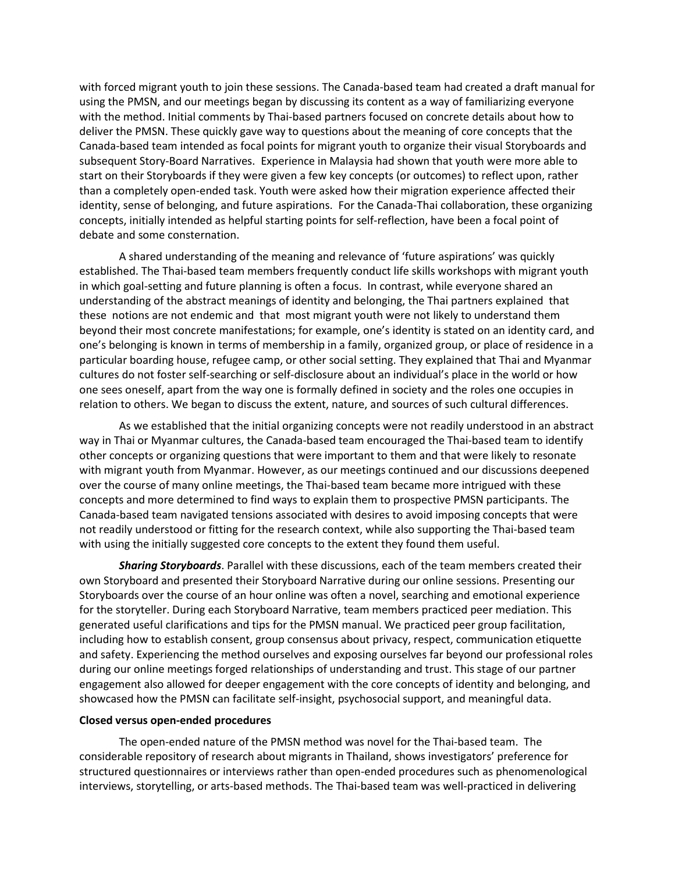with forced migrant youth to join these sessions. The Canada-based team had created a draft manual for using the PMSN, and our meetings began by discussing its content as a way of familiarizing everyone with the method. Initial comments by Thai-based partners focused on concrete details about how to deliver the PMSN. These quickly gave way to questions about the meaning of core concepts that the Canada-based team intended as focal points for migrant youth to organize their visual Storyboards and subsequent Story-Board Narratives. Experience in Malaysia had shown that youth were more able to start on their Storyboards if they were given a few key concepts (or outcomes) to reflect upon, rather than a completely open-ended task. Youth were asked how their migration experience affected their identity, sense of belonging, and future aspirations. For the Canada-Thai collaboration, these organizing concepts, initially intended as helpful starting points for self-reflection, have been a focal point of debate and some consternation.

A shared understanding of the meaning and relevance of 'future aspirations' was quickly established. The Thai-based team members frequently conduct life skills workshops with migrant youth in which goal-setting and future planning is often a focus. In contrast, while everyone shared an understanding of the abstract meanings of identity and belonging, the Thai partners explained that these notions are not endemic and that most migrant youth were not likely to understand them beyond their most concrete manifestations; for example, one's identity is stated on an identity card, and one's belonging is known in terms of membership in a family, organized group, or place of residence in a particular boarding house, refugee camp, or other social setting. They explained that Thai and Myanmar cultures do not foster self-searching or self-disclosure about an individual's place in the world or how one sees oneself, apart from the way one is formally defined in society and the roles one occupies in relation to others. We began to discuss the extent, nature, and sources of such cultural differences.

As we established that the initial organizing concepts were not readily understood in an abstract way in Thai or Myanmar cultures, the Canada-based team encouraged the Thai-based team to identify other concepts or organizing questions that were important to them and that were likely to resonate with migrant youth from Myanmar. However, as our meetings continued and our discussions deepened over the course of many online meetings, the Thai-based team became more intrigued with these concepts and more determined to find ways to explain them to prospective PMSN participants. The Canada-based team navigated tensions associated with desires to avoid imposing concepts that were not readily understood or fitting for the research context, while also supporting the Thai-based team with using the initially suggested core concepts to the extent they found them useful.

*Sharing Storyboards*. Parallel with these discussions, each of the team members created their own Storyboard and presented their Storyboard Narrative during our online sessions. Presenting our Storyboards over the course of an hour online was often a novel, searching and emotional experience for the storyteller. During each Storyboard Narrative, team members practiced peer mediation. This generated useful clarifications and tips for the PMSN manual. We practiced peer group facilitation, including how to establish consent, group consensus about privacy, respect, communication etiquette and safety. Experiencing the method ourselves and exposing ourselves far beyond our professional roles during our online meetings forged relationships of understanding and trust. This stage of our partner engagement also allowed for deeper engagement with the core concepts of identity and belonging, and showcased how the PMSN can facilitate self-insight, psychosocial support, and meaningful data.

#### **Closed versus open-ended procedures**

The open-ended nature of the PMSN method was novel for the Thai-based team. The considerable repository of research about migrants in Thailand, shows investigators' preference for structured questionnaires or interviews rather than open-ended procedures such as phenomenological interviews, storytelling, or arts-based methods. The Thai-based team was well-practiced in delivering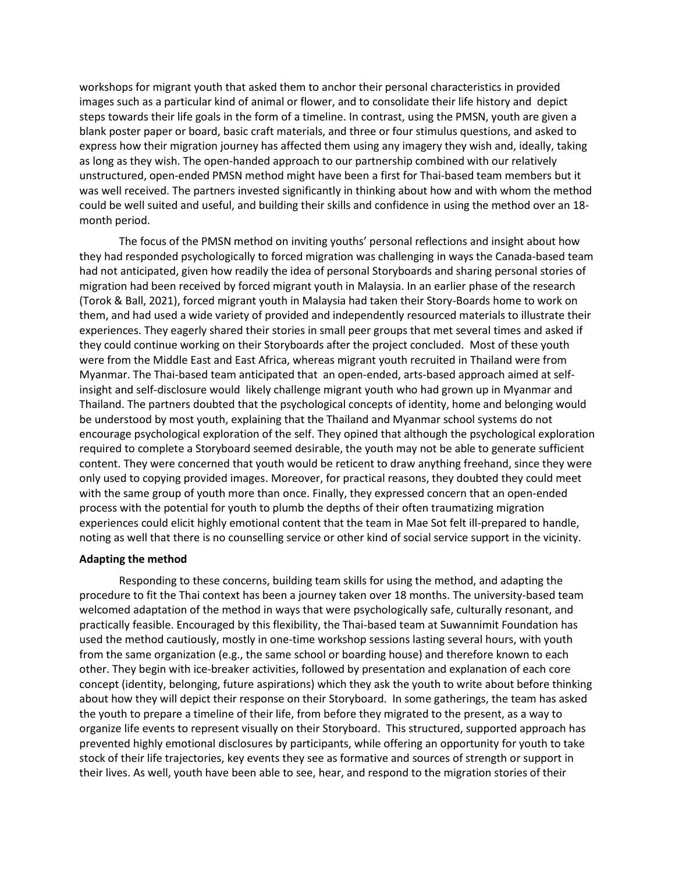workshops for migrant youth that asked them to anchor their personal characteristics in provided images such as a particular kind of animal or flower, and to consolidate their life history and depict steps towards their life goals in the form of a timeline. In contrast, using the PMSN, youth are given a blank poster paper or board, basic craft materials, and three or four stimulus questions, and asked to express how their migration journey has affected them using any imagery they wish and, ideally, taking as long as they wish. The open-handed approach to our partnership combined with our relatively unstructured, open-ended PMSN method might have been a first for Thai-based team members but it was well received. The partners invested significantly in thinking about how and with whom the method could be well suited and useful, and building their skills and confidence in using the method over an 18 month period.

The focus of the PMSN method on inviting youths' personal reflections and insight about how they had responded psychologically to forced migration was challenging in ways the Canada-based team had not anticipated, given how readily the idea of personal Storyboards and sharing personal stories of migration had been received by forced migrant youth in Malaysia. In an earlier phase of the research (Torok & Ball, 2021), forced migrant youth in Malaysia had taken their Story-Boards home to work on them, and had used a wide variety of provided and independently resourced materials to illustrate their experiences. They eagerly shared their stories in small peer groups that met several times and asked if they could continue working on their Storyboards after the project concluded. Most of these youth were from the Middle East and East Africa, whereas migrant youth recruited in Thailand were from Myanmar. The Thai-based team anticipated that an open-ended, arts-based approach aimed at selfinsight and self-disclosure would likely challenge migrant youth who had grown up in Myanmar and Thailand. The partners doubted that the psychological concepts of identity, home and belonging would be understood by most youth, explaining that the Thailand and Myanmar school systems do not encourage psychological exploration of the self. They opined that although the psychological exploration required to complete a Storyboard seemed desirable, the youth may not be able to generate sufficient content. They were concerned that youth would be reticent to draw anything freehand, since they were only used to copying provided images. Moreover, for practical reasons, they doubted they could meet with the same group of youth more than once. Finally, they expressed concern that an open-ended process with the potential for youth to plumb the depths of their often traumatizing migration experiences could elicit highly emotional content that the team in Mae Sot felt ill-prepared to handle, noting as well that there is no counselling service or other kind of social service support in the vicinity.

## **Adapting the method**

Responding to these concerns, building team skills for using the method, and adapting the procedure to fit the Thai context has been a journey taken over 18 months. The university-based team welcomed adaptation of the method in ways that were psychologically safe, culturally resonant, and practically feasible. Encouraged by this flexibility, the Thai-based team at Suwannimit Foundation has used the method cautiously, mostly in one-time workshop sessions lasting several hours, with youth from the same organization (e.g., the same school or boarding house) and therefore known to each other. They begin with ice-breaker activities, followed by presentation and explanation of each core concept (identity, belonging, future aspirations) which they ask the youth to write about before thinking about how they will depict their response on their Storyboard. In some gatherings, the team has asked the youth to prepare a timeline of their life, from before they migrated to the present, as a way to organize life events to represent visually on their Storyboard. This structured, supported approach has prevented highly emotional disclosures by participants, while offering an opportunity for youth to take stock of their life trajectories, key events they see as formative and sources of strength or support in their lives. As well, youth have been able to see, hear, and respond to the migration stories of their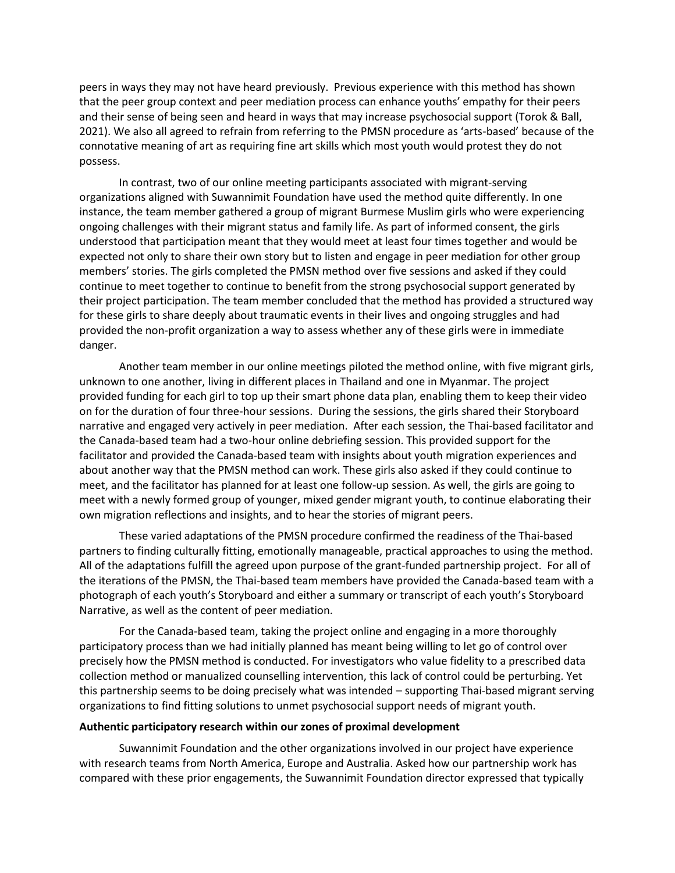peers in ways they may not have heard previously. Previous experience with this method has shown that the peer group context and peer mediation process can enhance youths' empathy for their peers and their sense of being seen and heard in ways that may increase psychosocial support (Torok & Ball, 2021). We also all agreed to refrain from referring to the PMSN procedure as 'arts-based' because of the connotative meaning of art as requiring fine art skills which most youth would protest they do not possess.

In contrast, two of our online meeting participants associated with migrant-serving organizations aligned with Suwannimit Foundation have used the method quite differently. In one instance, the team member gathered a group of migrant Burmese Muslim girls who were experiencing ongoing challenges with their migrant status and family life. As part of informed consent, the girls understood that participation meant that they would meet at least four times together and would be expected not only to share their own story but to listen and engage in peer mediation for other group members' stories. The girls completed the PMSN method over five sessions and asked if they could continue to meet together to continue to benefit from the strong psychosocial support generated by their project participation. The team member concluded that the method has provided a structured way for these girls to share deeply about traumatic events in their lives and ongoing struggles and had provided the non-profit organization a way to assess whether any of these girls were in immediate danger.

Another team member in our online meetings piloted the method online, with five migrant girls, unknown to one another, living in different places in Thailand and one in Myanmar. The project provided funding for each girl to top up their smart phone data plan, enabling them to keep their video on for the duration of four three-hour sessions. During the sessions, the girls shared their Storyboard narrative and engaged very actively in peer mediation. After each session, the Thai-based facilitator and the Canada-based team had a two-hour online debriefing session. This provided support for the facilitator and provided the Canada-based team with insights about youth migration experiences and about another way that the PMSN method can work. These girls also asked if they could continue to meet, and the facilitator has planned for at least one follow-up session. As well, the girls are going to meet with a newly formed group of younger, mixed gender migrant youth, to continue elaborating their own migration reflections and insights, and to hear the stories of migrant peers.

These varied adaptations of the PMSN procedure confirmed the readiness of the Thai-based partners to finding culturally fitting, emotionally manageable, practical approaches to using the method. All of the adaptations fulfill the agreed upon purpose of the grant-funded partnership project. For all of the iterations of the PMSN, the Thai-based team members have provided the Canada-based team with a photograph of each youth's Storyboard and either a summary or transcript of each youth's Storyboard Narrative, as well as the content of peer mediation.

For the Canada-based team, taking the project online and engaging in a more thoroughly participatory process than we had initially planned has meant being willing to let go of control over precisely how the PMSN method is conducted. For investigators who value fidelity to a prescribed data collection method or manualized counselling intervention, this lack of control could be perturbing. Yet this partnership seems to be doing precisely what was intended – supporting Thai-based migrant serving organizations to find fitting solutions to unmet psychosocial support needs of migrant youth.

#### **Authentic participatory research within our zones of proximal development**

Suwannimit Foundation and the other organizations involved in our project have experience with research teams from North America, Europe and Australia. Asked how our partnership work has compared with these prior engagements, the Suwannimit Foundation director expressed that typically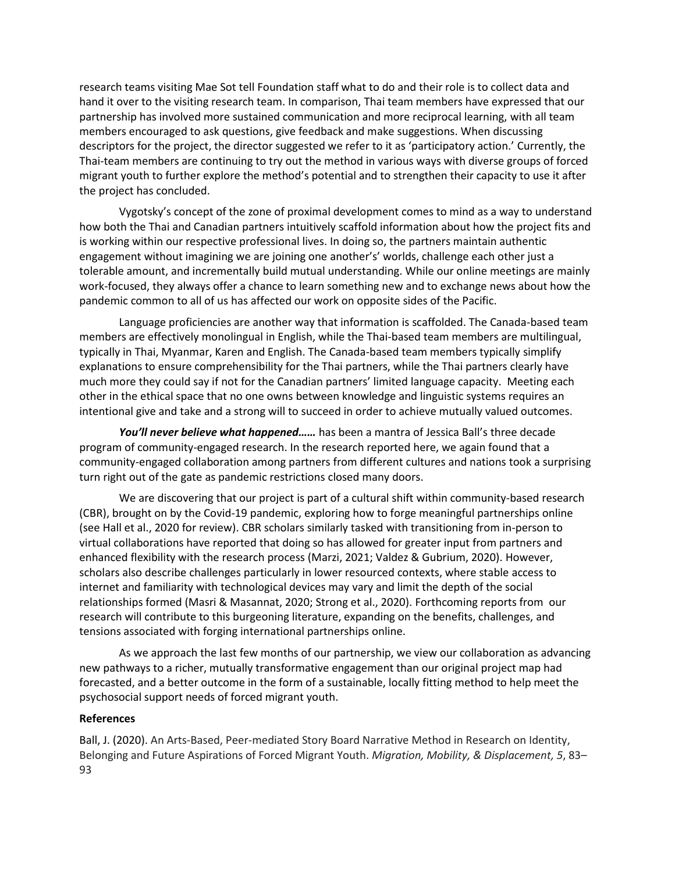research teams visiting Mae Sot tell Foundation staff what to do and their role is to collect data and hand it over to the visiting research team. In comparison, Thai team members have expressed that our partnership has involved more sustained communication and more reciprocal learning, with all team members encouraged to ask questions, give feedback and make suggestions. When discussing descriptors for the project, the director suggested we refer to it as 'participatory action.' Currently, the Thai-team members are continuing to try out the method in various ways with diverse groups of forced migrant youth to further explore the method's potential and to strengthen their capacity to use it after the project has concluded.

Vygotsky's concept of the zone of proximal development comes to mind as a way to understand how both the Thai and Canadian partners intuitively scaffold information about how the project fits and is working within our respective professional lives. In doing so, the partners maintain authentic engagement without imagining we are joining one another's' worlds, challenge each other just a tolerable amount, and incrementally build mutual understanding. While our online meetings are mainly work-focused, they always offer a chance to learn something new and to exchange news about how the pandemic common to all of us has affected our work on opposite sides of the Pacific.

Language proficiencies are another way that information is scaffolded. The Canada-based team members are effectively monolingual in English, while the Thai-based team members are multilingual, typically in Thai, Myanmar, Karen and English. The Canada-based team members typically simplify explanations to ensure comprehensibility for the Thai partners, while the Thai partners clearly have much more they could say if not for the Canadian partners' limited language capacity. Meeting each other in the ethical space that no one owns between knowledge and linguistic systems requires an intentional give and take and a strong will to succeed in order to achieve mutually valued outcomes.

*You'll never believe what happened……* has been a mantra of Jessica Ball's three decade program of community-engaged research. In the research reported here, we again found that a community-engaged collaboration among partners from different cultures and nations took a surprising turn right out of the gate as pandemic restrictions closed many doors.

We are discovering that our project is part of a cultural shift within community-based research (CBR), brought on by the Covid-19 pandemic, exploring how to forge meaningful partnerships online (see Hall et al., 2020 for review). CBR scholars similarly tasked with transitioning from in-person to virtual collaborations have reported that doing so has allowed for greater input from partners and enhanced flexibility with the research process (Marzi, 2021; Valdez & Gubrium, 2020). However, scholars also describe challenges particularly in lower resourced contexts, where stable access to internet and familiarity with technological devices may vary and limit the depth of the social relationships formed (Masri & Masannat, 2020; Strong et al., 2020). Forthcoming reports from our research will contribute to this burgeoning literature, expanding on the benefits, challenges, and tensions associated with forging international partnerships online.

As we approach the last few months of our partnership, we view our collaboration as advancing new pathways to a richer, mutually transformative engagement than our original project map had forecasted, and a better outcome in the form of a sustainable, locally fitting method to help meet the psychosocial support needs of forced migrant youth.

### **References**

Ball, J. (2020). An Arts-Based, Peer-mediated Story Board Narrative Method in Research on Identity, Belonging and Future Aspirations of Forced Migrant Youth. *Migration, Mobility, & Displacement, 5*, 83– 93